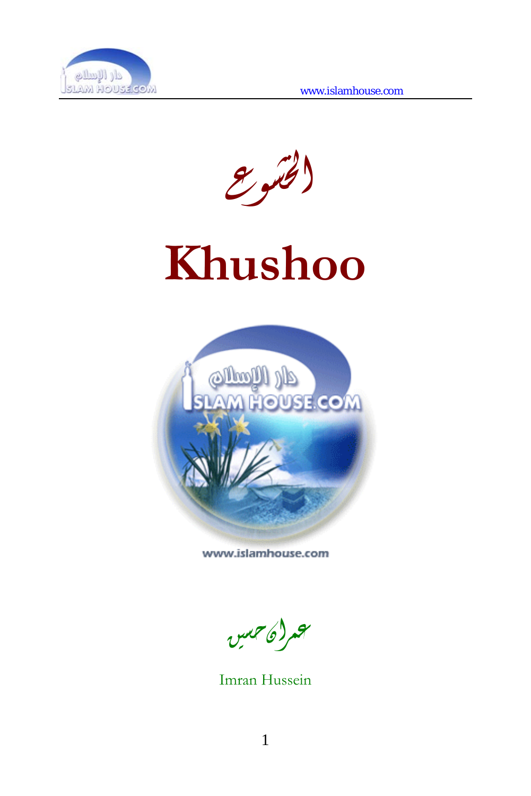

الخشوع





www.islamhouse.com

عمرانحسين

Imran Hussein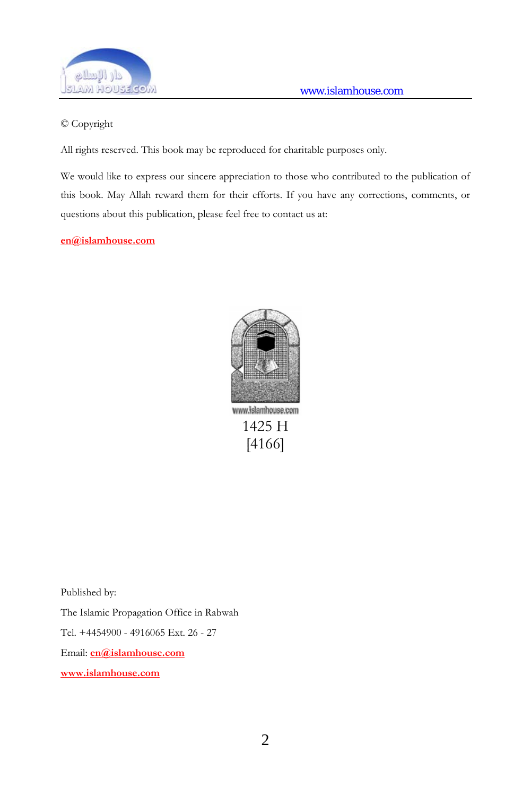

#### © Copyright

All rights reserved. This book may be reproduced for charitable purposes only.

We would like to express our sincere appreciation to those who contributed to the publication of this book. May Allah reward them for their efforts. If you have any corrections, comments, or questions about this publication, please feel free to contact us at:

#### **[en@islamhouse.com](mailto:en@islamhouse.com)**



Published by:

The Islamic Propagation Office in Rabwah

Tel. +4454900 - 4916065 Ext. 26 - 27

Email: **[en@islamhouse.com](mailto:en@islamhouse.com)**

**www.islamhouse.com**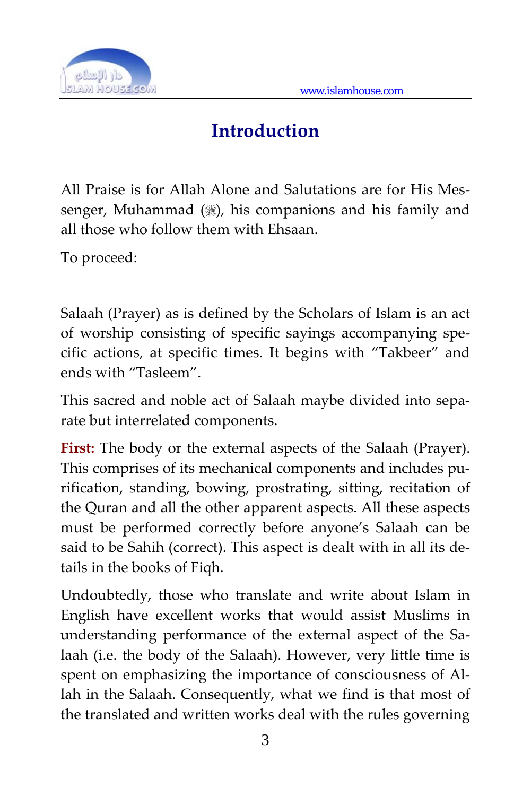

## **Introduction**

All Praise is for Allah Alone and Salutations are for His Mes‐ senger, Muhammad  $(*)$ , his companions and his family and all those who follow them with Ehsaan.

To proceed:

Salaah (Prayer) as is defined by the Scholars of Islam is an act of worship consisting of specific sayings accompanying spe‐ cific actions, at specific times. It begins with "Takbeer" and ends with "Tasleem".

This sacred and noble act of Salaah maybe divided into sepa‐ rate but interrelated components.

**First:** The body or the external aspects of the Salaah (Prayer). This comprises of its mechanical components and includes pu‐ rification, standing, bowing, prostrating, sitting, recitation of the Quran and all the other apparent aspects. All these aspects must be performed correctly before anyone's Salaah can be said to be Sahih (correct). This aspect is dealt with in all its de‐ tails in the books of Fiqh.

Undoubtedly, those who translate and write about Islam in English have excellent works that would assist Muslims in understanding performance of the external aspect of the Salaah (i.e. the body of the Salaah). However, very little time is spent on emphasizing the importance of consciousness of Allah in the Salaah. Consequently, what we find is that most of the translated and written works deal with the rules governing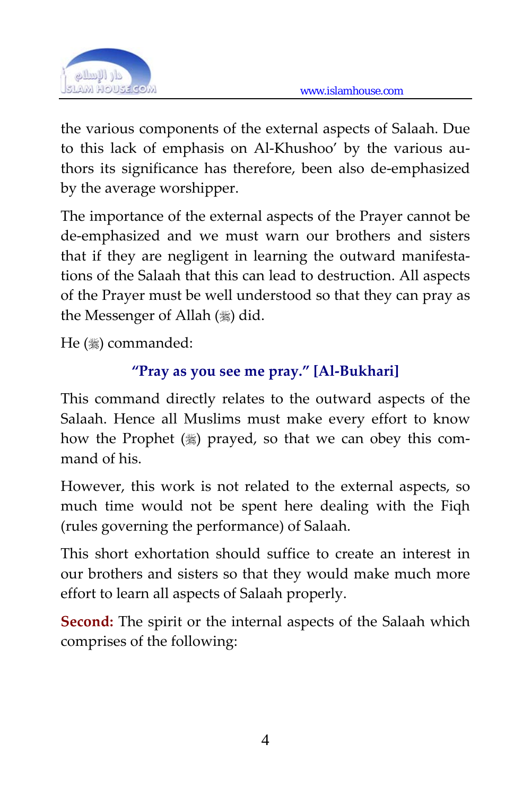

the various components of the external aspects of Salaah. Due to this lack of emphasis on Al-Khushoo' by the various authors its significance has therefore, been also de‐emphasized by the average worshipper.

The importance of the external aspects of the Prayer cannot be de‐emphasized and we must warn our brothers and sisters that if they are negligent in learning the outward manifestations of the Salaah that this can lead to destruction. All aspects of the Prayer must be well understood so that they can pray as the Messenger of Allah  $(\frac{1}{2})$  did.

He (1) commanded:

## **"Pray as you see me pray." [Al‐Bukhari]**

This command directly relates to the outward aspects of the Salaah. Hence all Muslims must make every effort to know how the Prophet (1) prayed, so that we can obey this command of his.

However, this work is not related to the external aspects, so much time would not be spent here dealing with the Fiqh (rules governing the performance) of Salaah.

This short exhortation should suffice to create an interest in our brothers and sisters so that they would make much more effort to learn all aspects of Salaah properly.

**Second:** The spirit or the internal aspects of the Salaah which comprises of the following: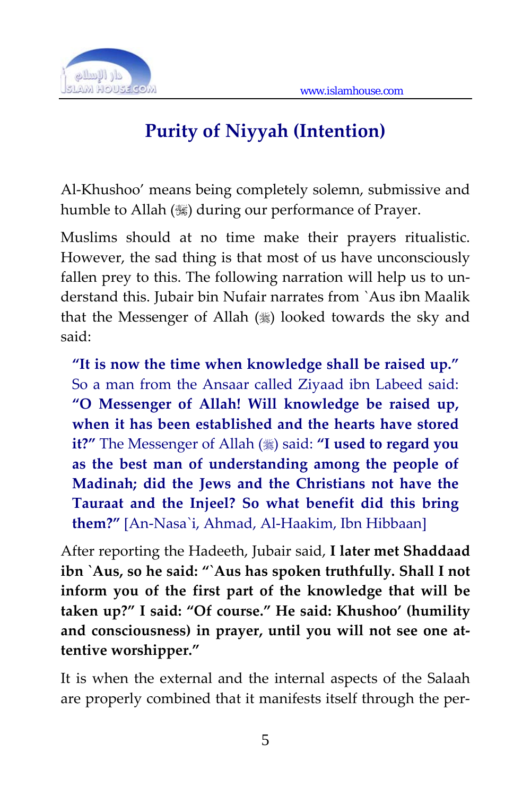

# **Purity of Niyyah (Intention)**

Al‐Khushoo' means being completely solemn, submissive and humble to Allah () during our performance of Prayer.

Muslims should at no time make their prayers ritualistic. However, the sad thing is that most of us have unconsciously fallen prey to this. The following narration will help us to understand this. Jubair bin Nufair narrates from `Aus ibn Maalik that the Messenger of Allah  $(\frac{1}{2})$  looked towards the sky and said:

**"It is now the time when knowledge shall be raised up."** So a man from the Ansaar called Ziyaad ibn Labeed said: **"O Messenger of Allah! Will knowledge be raised up, when it has been established and the hearts have stored it?"** The Messenger of Allah ( $\frac{1}{20}$ ) said: "**I** used to regard you **as the best man of understanding among the people of Madinah; did the Jews and the Christians not have the Tauraat and the Injeel? So what benefit did this bring them?"** [An‐Nasa`i, Ahmad, Al‐Haakim, Ibn Hibbaan]

After reporting the Hadeeth, Jubair said, **I later met Shaddaad ibn `Aus, so he said: "`Aus has spoken truthfully. Shall I not inform you of the first part of the knowledge that will be taken up?" I said: "Of course." He said: Khushoo' (humility and consciousness) in prayer, until you will not see one at‐ tentive worshipper."**

It is when the external and the internal aspects of the Salaah are properly combined that it manifests itself through the per‐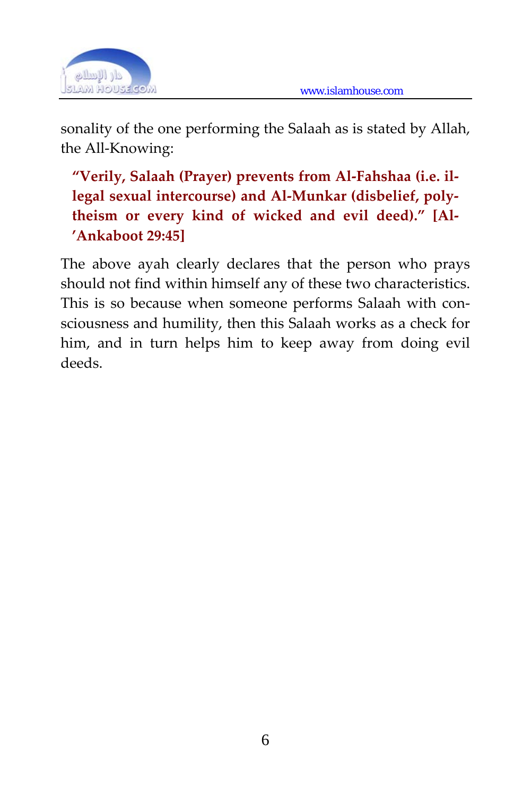

sonality of the one performing the Salaah as is stated by Allah, the All‐Knowing:

**"Verily, Salaah (Prayer) prevents from Al‐Fahshaa (i.e. il‐ legal sexual intercourse) and Al‐Munkar (disbelief, poly‐ theism or every kind of wicked and evil deed)." [Al‐ 'Ankaboot 29:45]**

The above ayah clearly declares that the person who prays should not find within himself any of these two characteristics. This is so because when someone performs Salaah with consciousness and humility, then this Salaah works as a check for him, and in turn helps him to keep away from doing evil deeds.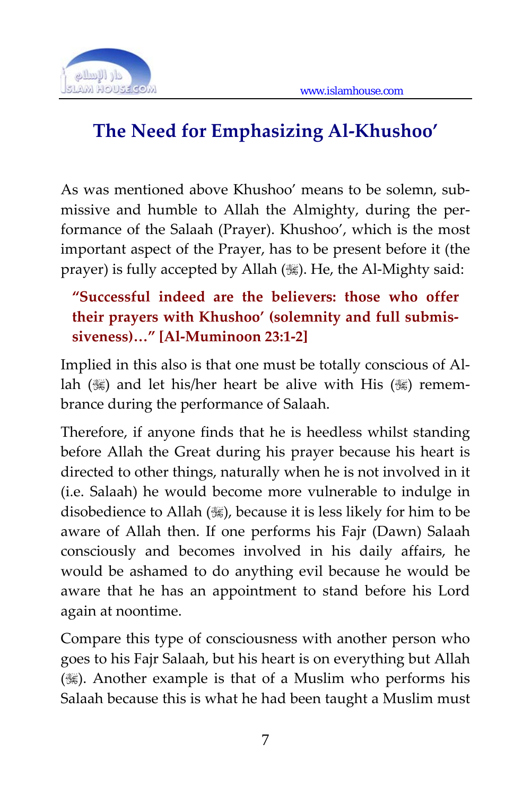

# **The Need for Emphasizing Al‐Khushoo'**

As was mentioned above Khushoo' means to be solemn, submissive and humble to Allah the Almighty, during the per‐ formance of the Salaah (Prayer). Khushoo', which is the most important aspect of the Prayer, has to be present before it (the prayer) is fully accepted by Allah (,). He, the Al-Mighty said:

## **"Successful indeed are the believers: those who offer their prayers with Khushoo' (solemnity and full submis‐ siveness)…" [Al‐Muminoon 23:1‐2]**

Implied in this also is that one must be totally conscious of Al‐ lah ( $\mathcal{H}$ ) and let his/her heart be alive with His ( $\mathcal{H}$ ) remembrance during the performance of Salaah.

Therefore, if anyone finds that he is heedless whilst standing before Allah the Great during his prayer because his heart is directed to other things, naturally when he is not involved in it (i.e. Salaah) he would become more vulnerable to indulge in disobedience to Allah (,), because it is less likely for him to be aware of Allah then. If one performs his Fajr (Dawn) Salaah consciously and becomes involved in his daily affairs, he would be ashamed to do anything evil because he would be aware that he has an appointment to stand before his Lord again at noontime.

Compare this type of consciousness with another person who goes to his Fajr Salaah, but his heart is on everything but Allah ()). Another example is that of a Muslim who performs his Salaah because this is what he had been taught a Muslim must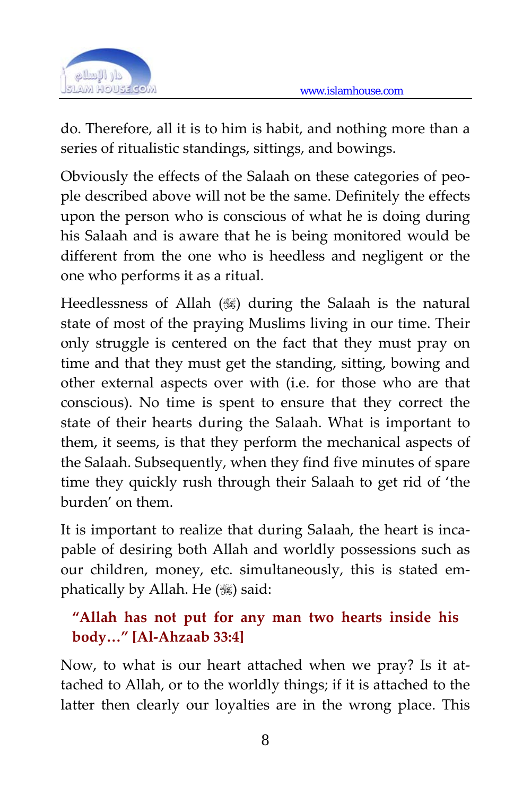

do. Therefore, all it is to him is habit, and nothing more than a series of ritualistic standings, sittings, and bowings.

Obviously the effects of the Salaah on these categories of peo‐ ple described above will not be the same. Definitely the effects upon the person who is conscious of what he is doing during his Salaah and is aware that he is being monitored would be different from the one who is heedless and negligent or the one who performs it as a ritual.

Heedlessness of Allah () during the Salaah is the natural state of most of the praying Muslims living in our time. Their only struggle is centered on the fact that they must pray on time and that they must get the standing, sitting, bowing and other external aspects over with (i.e. for those who are that conscious). No time is spent to ensure that they correct the state of their hearts during the Salaah. What is important to them, it seems, is that they perform the mechanical aspects of the Salaah. Subsequently, when they find five minutes of spare time they quickly rush through their Salaah to get rid of 'the burden' on them.

It is important to realize that during Salaah, the heart is incapable of desiring both Allah and worldly possessions such as our children, money, etc. simultaneously, this is stated em‐ phatically by Allah. He  $(\mathcal{H})$  said:

#### **"Allah has not put for any man two hearts inside his body…" [Al‐Ahzaab 33:4]**

Now, to what is our heart attached when we pray? Is it at‐ tached to Allah, or to the worldly things; if it is attached to the latter then clearly our loyalties are in the wrong place. This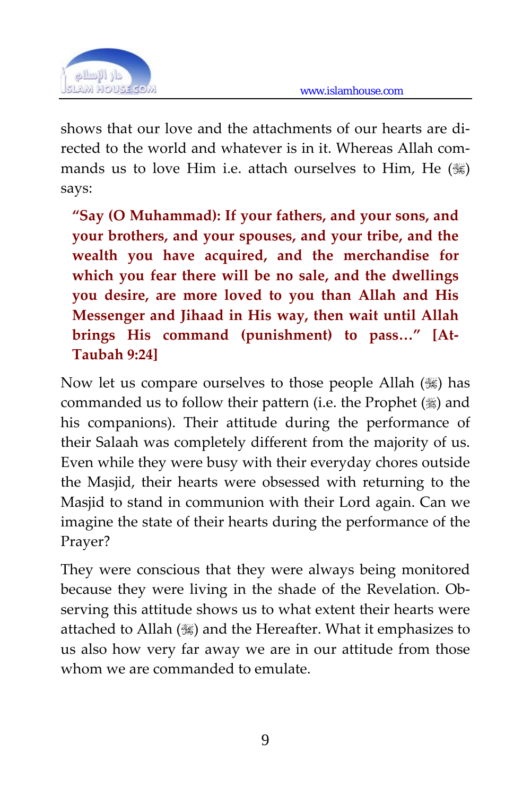

shows that our love and the attachments of our hearts are di‐ rected to the world and whatever is in it. Whereas Allah commands us to love Him i.e. attach ourselves to Him, He  $(\mathbb{R})$ says:

**"Say (O Muhammad): If your fathers, and your sons, and your brothers, and your spouses, and your tribe, and the wealth you have acquired, and the merchandise for which you fear there will be no sale, and the dwellings you desire, are more loved to you than Allah and His Messenger and Jihaad in His way, then wait until Allah brings His command (punishment) to pass…" [At‐ Taubah 9:24]** 

Now let us compare ourselves to those people Allah  $(\mathcal{H})$  has commanded us to follow their pattern (i.e. the Prophet  $(\frac{1}{2})$  and his companions). Their attitude during the performance of their Salaah was completely different from the majority of us. Even while they were busy with their everyday chores outside the Masjid, their hearts were obsessed with returning to the Masjid to stand in communion with their Lord again. Can we imagine the state of their hearts during the performance of the Prayer?

They were conscious that they were always being monitored because they were living in the shade of the Revelation. Ob‐ serving this attitude shows us to what extent their hearts were attached to Allah () and the Hereafter. What it emphasizes to us also how very far away we are in our attitude from those whom we are commanded to emulate.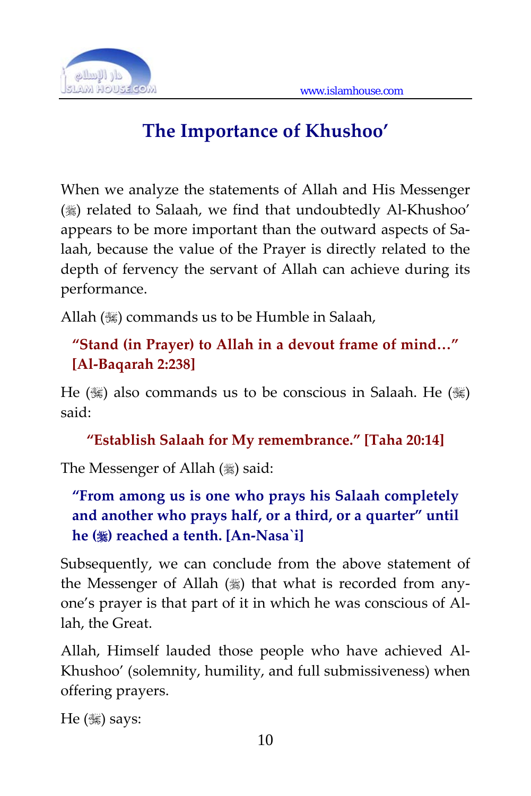

# **The Importance of Khushoo'**

When we analyze the statements of Allah and His Messenger () related to Salaah, we find that undoubtedly Al-Khushoo' appears to be more important than the outward aspects of Sa‐ laah, because the value of the Prayer is directly related to the depth of fervency the servant of Allah can achieve during its performance.

Allah (,) commands us to be Humble in Salaah,

#### **"Stand (in Prayer) to Allah in a devout frame of mind…" [Al‐Baqarah 2:238]**

He ( $\mathcal{H}$ ) also commands us to be conscious in Salaah. He ( $\mathcal{H}$ ) said:

**"Establish Salaah for My remembrance." [Taha 20:14]**

The Messenger of Allah (1) said:

**"From among us is one who prays his Salaah completely and another who prays half, or a third, or a quarter" until he () reached a tenth. [An‐Nasa`i]**

Subsequently, we can conclude from the above statement of the Messenger of Allah () that what is recorded from anyone's prayer is that part of it in which he was conscious of Al‐ lah, the Great.

Allah, Himself lauded those people who have achieved Al‐ Khushoo' (solemnity, humility, and full submissiveness) when offering prayers.

 $He$  ( $\ddot{\mathcal{L}}$ ) says: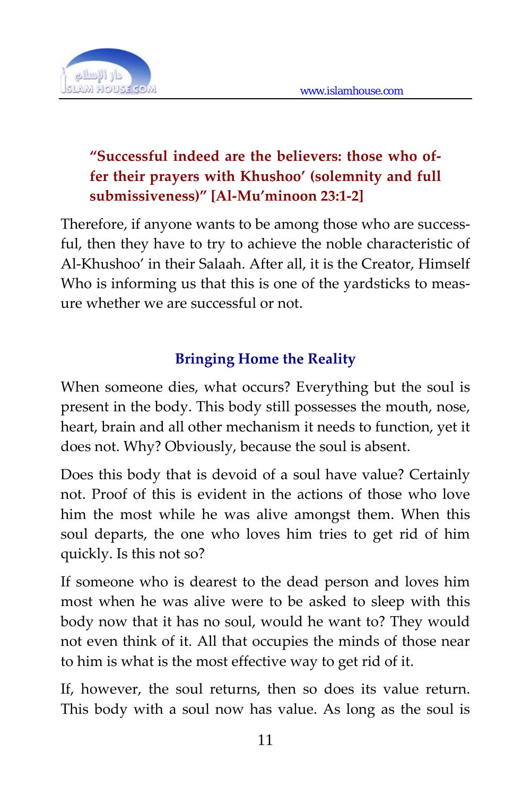

### **"Successful indeed are the believers: those who of‐ fer their prayers with Khushoo' (solemnity and full submissiveness)" [Al‐Mu'minoon 23:1‐2]**

Therefore, if anyone wants to be among those who are successful, then they have to try to achieve the noble characteristic of Al‐Khushoo' in their Salaah. After all, it is the Creator, Himself Who is informing us that this is one of the yardsticks to measure whether we are successful or not.

#### **Bringing Home the Reality**

When someone dies, what occurs? Everything but the soul is present in the body. This body still possesses the mouth, nose, heart, brain and all other mechanism it needs to function, yet it does not. Why? Obviously, because the soul is absent.

Does this body that is devoid of a soul have value? Certainly not. Proof of this is evident in the actions of those who love him the most while he was alive amongst them. When this soul departs, the one who loves him tries to get rid of him quickly. Is this not so?

If someone who is dearest to the dead person and loves him most when he was alive were to be asked to sleep with this body now that it has no soul, would he want to? They would not even think of it. All that occupies the minds of those near to him is what is the most effective way to get rid of it.

If, however, the soul returns, then so does its value return. This body with a soul now has value. As long as the soul is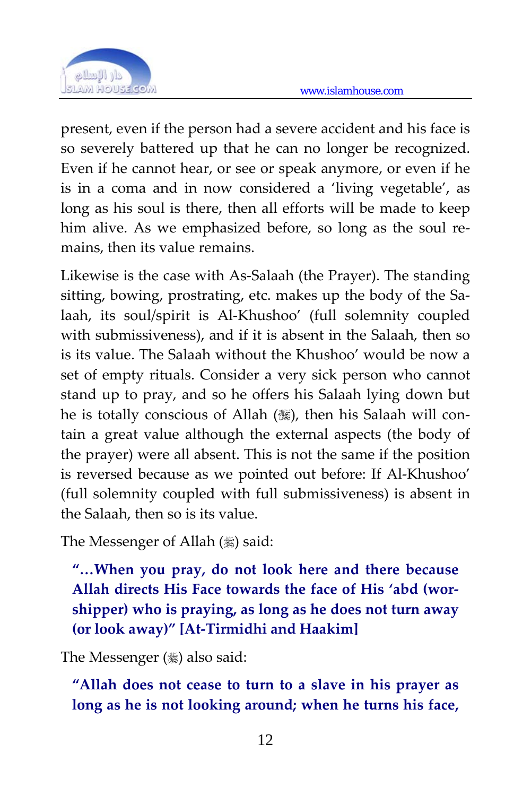

present, even if the person had a severe accident and his face is so severely battered up that he can no longer be recognized. Even if he cannot hear, or see or speak anymore, or even if he is in a coma and in now considered a 'living vegetable', as long as his soul is there, then all efforts will be made to keep him alive. As we emphasized before, so long as the soul remains, then its value remains.

Likewise is the case with As‐Salaah (the Prayer). The standing sitting, bowing, prostrating, etc. makes up the body of the Salaah, its soul/spirit is Al‐Khushoo' (full solemnity coupled with submissiveness), and if it is absent in the Salaah, then so is its value. The Salaah without the Khushoo' would be now a set of empty rituals. Consider a very sick person who cannot stand up to pray, and so he offers his Salaah lying down but he is totally conscious of Allah (,), then his Salaah will contain a great value although the external aspects (the body of the prayer) were all absent. This is not the same if the position is reversed because as we pointed out before: If Al‐Khushoo' (full solemnity coupled with full submissiveness) is absent in the Salaah, then so is its value.

The Messenger of Allah (1) said:

**"…When you pray, do not look here and there because Allah directs His Face towards the face of His 'abd (wor‐ shipper) who is praying, as long as he does not turn away (or look away)" [At‐Tirmidhi and Haakim]**

The Messenger  $(\frac{1}{2})$  also said:

**"Allah does not cease to turn to a slave in his prayer as long as he is not looking around; when he turns his face,**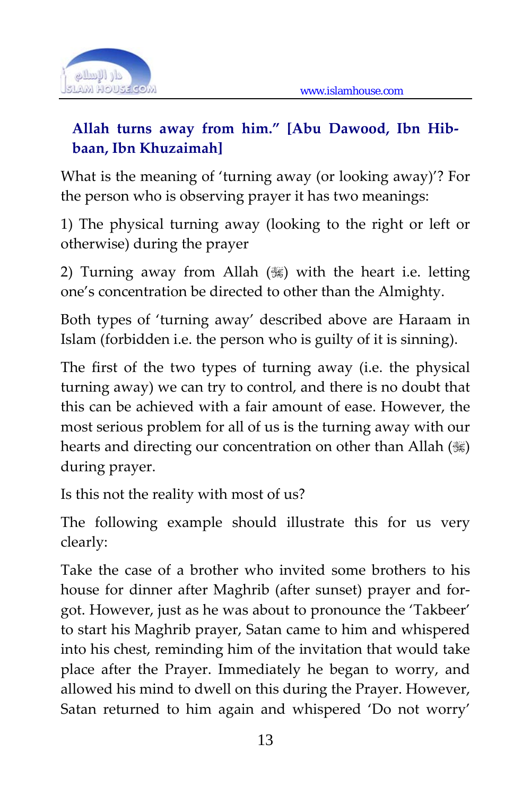

## **Allah turns away from him." [Abu Dawood, Ibn Hib‐ baan, Ibn Khuzaimah]**

What is the meaning of 'turning away (or looking away)'? For the person who is observing prayer it has two meanings:

1) The physical turning away (looking to the right or left or otherwise) during the prayer

2) Turning away from Allah  $(\mathcal{G})$  with the heart i.e. letting one's concentration be directed to other than the Almighty.

Both types of 'turning away' described above are Haraam in Islam (forbidden i.e. the person who is guilty of it is sinning).

The first of the two types of turning away (i.e. the physical turning away) we can try to control, and there is no doubt that this can be achieved with a fair amount of ease. However, the most serious problem for all of us is the turning away with our hearts and directing our concentration on other than Allah ( $\ddot{\mathcal{E}}$ ) during prayer.

Is this not the reality with most of us?

The following example should illustrate this for us very clearly:

Take the case of a brother who invited some brothers to his house for dinner after Maghrib (after sunset) prayer and for‐ got. However, just as he was about to pronounce the 'Takbeer' to start his Maghrib prayer, Satan came to him and whispered into his chest, reminding him of the invitation that would take place after the Prayer. Immediately he began to worry, and allowed his mind to dwell on this during the Prayer. However, Satan returned to him again and whispered 'Do not worry'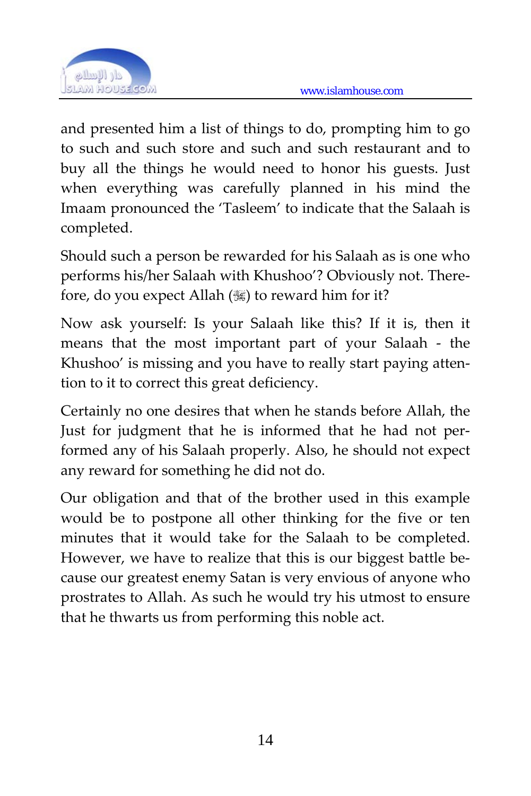

and presented him a list of things to do, prompting him to go to such and such store and such and such restaurant and to buy all the things he would need to honor his guests. Just when everything was carefully planned in his mind the Imaam pronounced the 'Tasleem' to indicate that the Salaah is completed.

Should such a person be rewarded for his Salaah as is one who performs his/her Salaah with Khushoo'? Obviously not. There‐ fore, do you expect Allah  $(\frac{100}{30})$  to reward him for it?

Now ask yourself: Is your Salaah like this? If it is, then it means that the most important part of your Salaah - the Khushoo' is missing and you have to really start paying atten‐ tion to it to correct this great deficiency.

Certainly no one desires that when he stands before Allah, the Just for judgment that he is informed that he had not per‐ formed any of his Salaah properly. Also, he should not expect any reward for something he did not do.

Our obligation and that of the brother used in this example would be to postpone all other thinking for the five or ten minutes that it would take for the Salaah to be completed. However, we have to realize that this is our biggest battle be‐ cause our greatest enemy Satan is very envious of anyone who prostrates to Allah. As such he would try his utmost to ensure that he thwarts us from performing this noble act.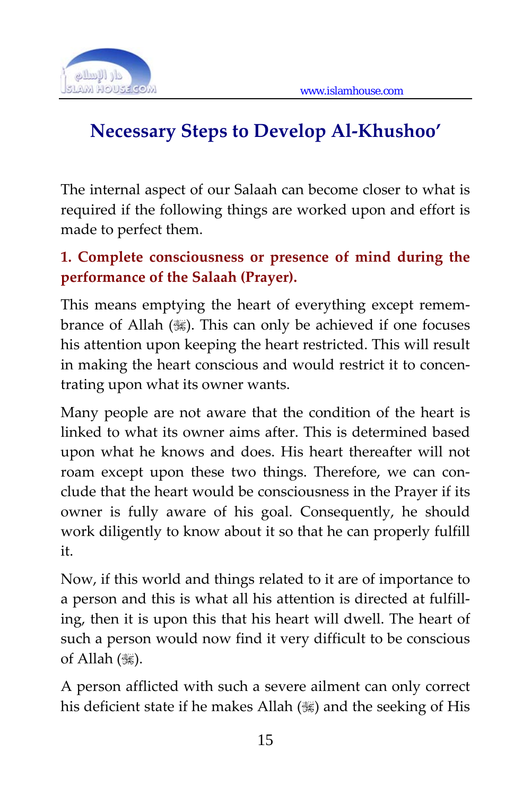

# **Necessary Steps to Develop Al‐Khushoo'**

The internal aspect of our Salaah can become closer to what is required if the following things are worked upon and effort is made to perfect them.

## **1. Complete consciousness or presence of mind during the performance of the Salaah (Prayer).**

This means emptying the heart of everything except remembrance of Allah (,). This can only be achieved if one focuses his attention upon keeping the heart restricted. This will result in making the heart conscious and would restrict it to concentrating upon what its owner wants.

Many people are not aware that the condition of the heart is linked to what its owner aims after. This is determined based upon what he knows and does. His heart thereafter will not roam except upon these two things. Therefore, we can conclude that the heart would be consciousness in the Prayer if its owner is fully aware of his goal. Consequently, he should work diligently to know about it so that he can properly fulfill it.

Now, if this world and things related to it are of importance to a person and this is what all his attention is directed at fulfill‐ ing, then it is upon this that his heart will dwell. The heart of such a person would now find it very difficult to be conscious of Allah (,).

A person afflicted with such a severe ailment can only correct his deficient state if he makes Allah ( $\ddot{\text{}}$ ) and the seeking of His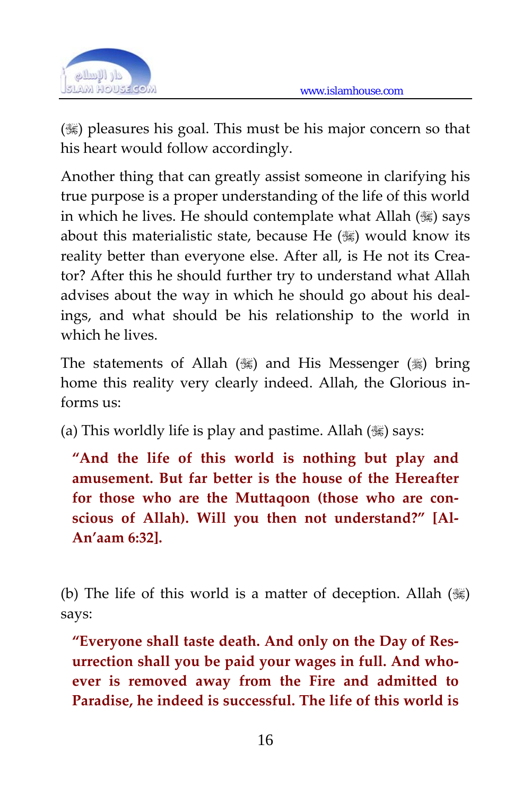

( $\mathcal{H}$ ) pleasures his goal. This must be his major concern so that his heart would follow accordingly.

Another thing that can greatly assist someone in clarifying his true purpose is a proper understanding of the life of this world in which he lives. He should contemplate what Allah () says about this materialistic state, because He  $(\frac{1}{2})$  would know its reality better than everyone else. After all, is He not its Creator? After this he should further try to understand what Allah advises about the way in which he should go about his deal‐ ings, and what should be his relationship to the world in which he lives.

The statements of Allah ( $\mathcal{G}$ ) and His Messenger ( $\mathcal{G}$ ) bring home this reality very clearly indeed. Allah, the Glorious informs us:

(a) This worldly life is play and pastime. Allah  $(\mathcal{H})$  says:

**"And the life of this world is nothing but play and amusement. But far better is the house of the Hereafter for those who are the Muttaqoon (those who are con‐ scious of Allah). Will you then not understand?" [Al‐ An'aam 6:32].**

(b) The life of this world is a matter of deception. Allah  $(\mathbb{S})$ says:

**"Everyone shall taste death. And only on the Day of Res‐ urrection shall you be paid your wages in full. And who‐ ever is removed away from the Fire and admitted to Paradise, he indeed is successful. The life of this world is**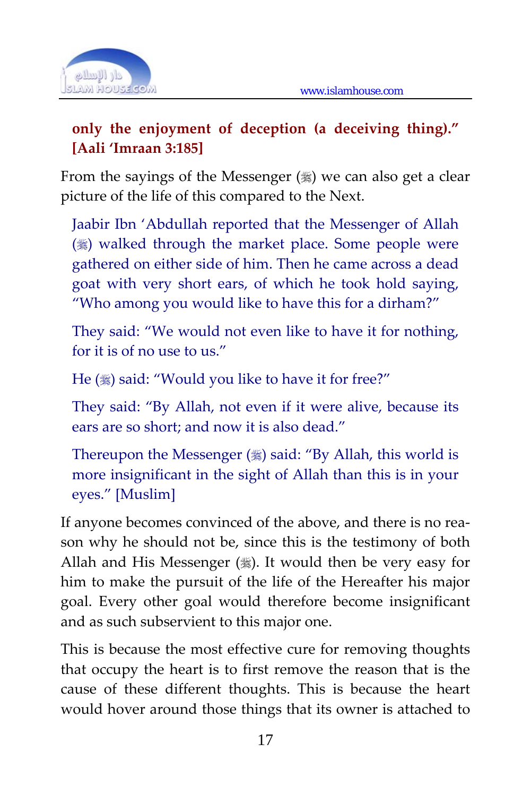

#### **only the enjoyment of deception (a deceiving thing)." [Aali 'Imraan 3:185]**

From the sayings of the Messenger  $(\frac{1}{2})$  we can also get a clear picture of the life of this compared to the Next.

Jaabir Ibn 'Abdullah reported that the Messenger of Allah ( $\frac{1}{2}$ ) walked through the market place. Some people were gathered on either side of him. Then he came across a dead goat with very short ears, of which he took hold saying, "Who among you would like to have this for a dirham?"

They said: "We would not even like to have it for nothing, for it is of no use to us."

He () said: "Would you like to have it for free?"

They said: "By Allah, not even if it were alive, because its ears are so short; and now it is also dead."

Thereupon the Messenger  $(\frac{1}{2})$  said: "By Allah, this world is more insignificant in the sight of Allah than this is in your eyes." [Muslim]

If anyone becomes convinced of the above, and there is no reason why he should not be, since this is the testimony of both Allah and His Messenger  $(\frac{1}{2})$ . It would then be very easy for him to make the pursuit of the life of the Hereafter his major goal. Every other goal would therefore become insignificant and as such subservient to this major one.

This is because the most effective cure for removing thoughts that occupy the heart is to first remove the reason that is the cause of these different thoughts. This is because the heart would hover around those things that its owner is attached to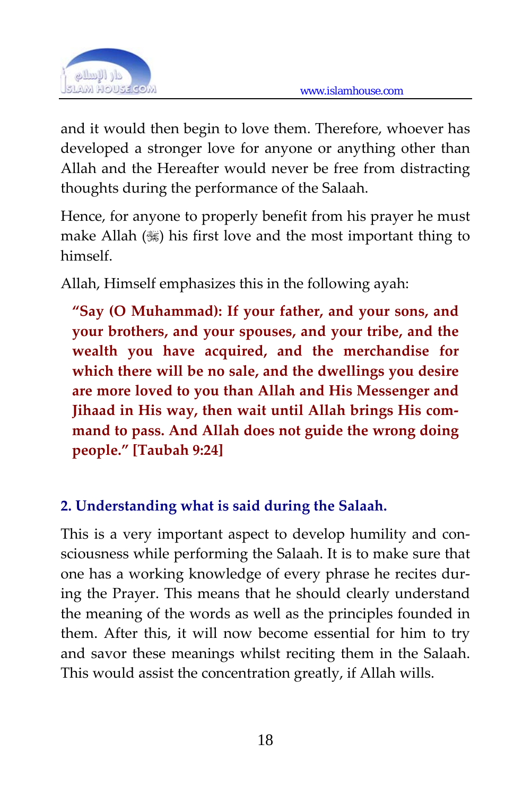

and it would then begin to love them. Therefore, whoever has developed a stronger love for anyone or anything other than Allah and the Hereafter would never be free from distracting thoughts during the performance of the Salaah.

Hence, for anyone to properly benefit from his prayer he must make Allah  $(\mathcal{L})$  his first love and the most important thing to himself.

Allah, Himself emphasizes this in the following ayah:

**"Say (O Muhammad): If your father, and your sons, and your brothers, and your spouses, and your tribe, and the wealth you have acquired, and the merchandise for which there will be no sale, and the dwellings you desire are more loved to you than Allah and His Messenger and Jihaad in His way, then wait until Allah brings His com‐ mand to pass. And Allah does not guide the wrong doing people." [Taubah 9:24]**

## **2. Understanding what is said during the Salaah.**

This is a very important aspect to develop humility and con‐ sciousness while performing the Salaah. It is to make sure that one has a working knowledge of every phrase he recites dur‐ ing the Prayer. This means that he should clearly understand the meaning of the words as well as the principles founded in them. After this, it will now become essential for him to try and savor these meanings whilst reciting them in the Salaah. This would assist the concentration greatly, if Allah wills.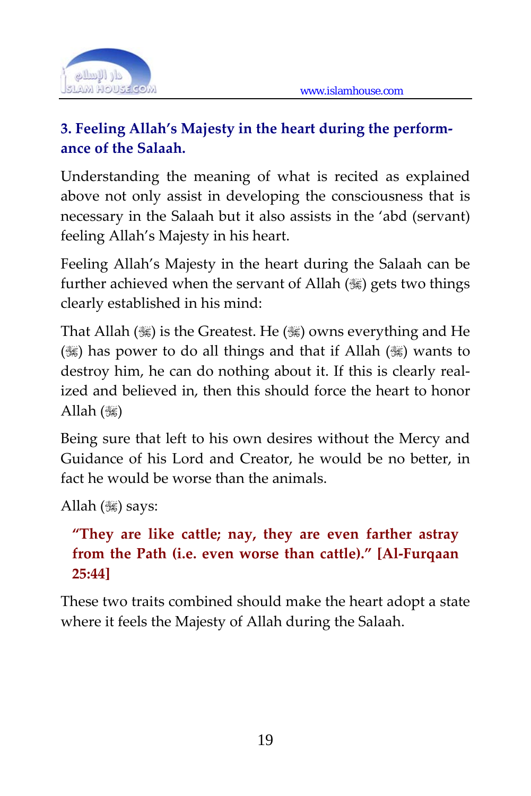

## **3. Feeling Allah's Majesty in the heart during the perform‐ ance of the Salaah.**

Understanding the meaning of what is recited as explained above not only assist in developing the consciousness that is necessary in the Salaah but it also assists in the 'abd (servant) feeling Allah's Majesty in his heart.

Feeling Allah's Majesty in the heart during the Salaah can be further achieved when the servant of Allah  $(\frac{100}{100})$  gets two things clearly established in his mind:

That Allah ( $\mathcal{G}$ ) is the Greatest. He ( $\mathcal{G}$ ) owns everything and He ( $\mathcal{R}$ ) has power to do all things and that if Allah ( $\mathcal{R}$ ) wants to destroy him, he can do nothing about it. If this is clearly realized and believed in, then this should force the heart to honor Allah  $(\mathcal{H})$ 

Being sure that left to his own desires without the Mercy and Guidance of his Lord and Creator, he would be no better, in fact he would be worse than the animals.

```
Allah (\mathcal{H}) says:
```
## **"They are like cattle; nay, they are even farther astray from the Path (i.e. even worse than cattle)." [Al‐Furqaan 25:44]**

These two traits combined should make the heart adopt a state where it feels the Majesty of Allah during the Salaah.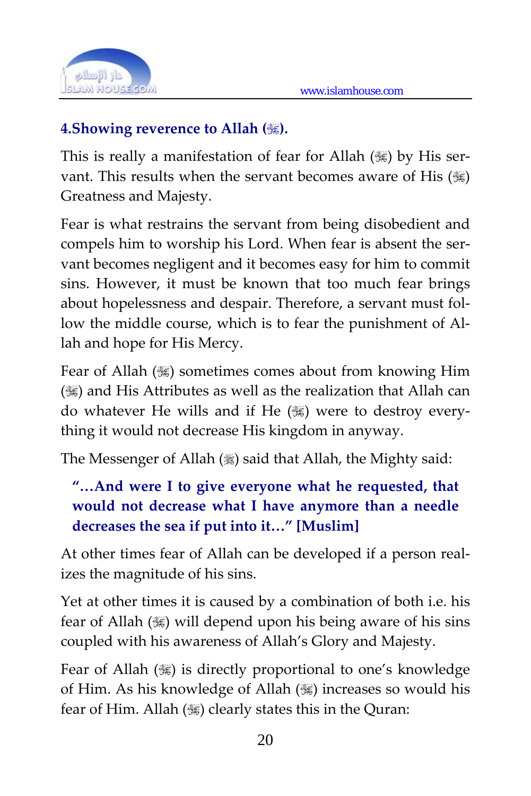

#### **4.Showing reverence to Allah ().**

This is really a manifestation of fear for Allah  $(\mathcal{H})$  by His servant. This results when the servant becomes aware of His ( $\mathcal{H}$ ) Greatness and Majesty.

Fear is what restrains the servant from being disobedient and compels him to worship his Lord. When fear is absent the servant becomes negligent and it becomes easy for him to commit sins. However, it must be known that too much fear brings about hopelessness and despair. Therefore, a servant must fol‐ low the middle course, which is to fear the punishment of Allah and hope for His Mercy.

Fear of Allah ( $\frac{1}{100}$ ) sometimes comes about from knowing Him ( $\frac{1}{100}$ ) and His Attributes as well as the realization that Allah can do whatever He wills and if He  $(\mathcal{H})$  were to destroy everything it would not decrease His kingdom in anyway.

The Messenger of Allah  $(\frac{1}{2})$  said that Allah, the Mighty said:

#### **"…And were I to give everyone what he requested, that would not decrease what I have anymore than a needle decreases the sea if put into it…" [Muslim]**

At other times fear of Allah can be developed if a person real‐ izes the magnitude of his sins.

Yet at other times it is caused by a combination of both i.e. his fear of Allah ( $\mathcal{L}$ ) will depend upon his being aware of his sins coupled with his awareness of Allah's Glory and Majesty.

Fear of Allah ( $\mathcal{G}$ ) is directly proportional to one's knowledge of Him. As his knowledge of Allah () increases so would his fear of Him. Allah ( $\ddot{\text{}}$ ) clearly states this in the Quran: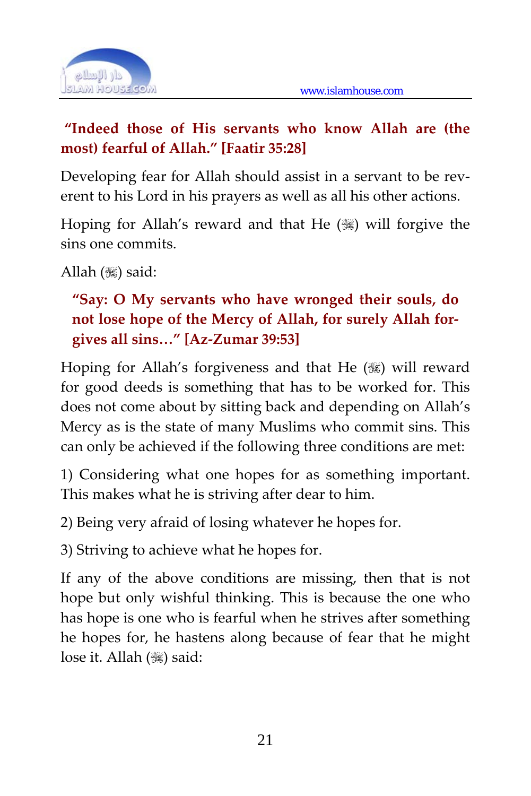

#### **"Indeed those of His servants who know Allah are (the most) fearful of Allah." [Faatir 35:28]**

Developing fear for Allah should assist in a servant to be reverent to his Lord in his prayers as well as all his other actions.

Hoping for Allah's reward and that He  $(\mathcal{H})$  will forgive the sins one commits.

Allah  $(\mathcal{H})$  said:

#### **"Say: O My servants who have wronged their souls, do not lose hope of the Mercy of Allah, for surely Allah for‐ gives all sins…" [Az‐Zumar 39:53]**

Hoping for Allah's forgiveness and that He (.) will reward for good deeds is something that has to be worked for. This does not come about by sitting back and depending on Allah's Mercy as is the state of many Muslims who commit sins. This can only be achieved if the following three conditions are met:

1) Considering what one hopes for as something important. This makes what he is striving after dear to him.

2) Being very afraid of losing whatever he hopes for.

3) Striving to achieve what he hopes for.

If any of the above conditions are missing, then that is not hope but only wishful thinking. This is because the one who has hope is one who is fearful when he strives after something he hopes for, he hastens along because of fear that he might lose it. Allah (, ) said: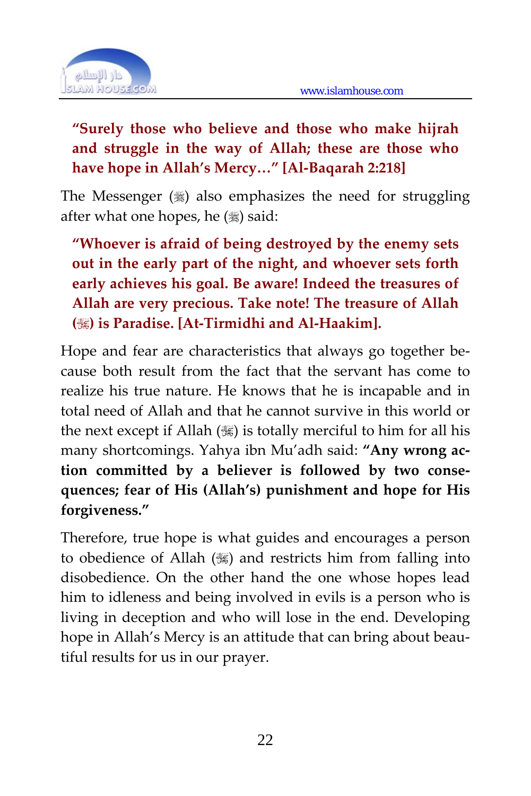

## **"Surely those who believe and those who make hijrah and struggle in the way of Allah; these are those who have hope in Allah's Mercy…" [Al‐Baqarah 2:218]**

The Messenger  $(\%)$  also emphasizes the need for struggling after what one hopes, he () said:

**"Whoever is afraid of being destroyed by the enemy sets out in the early part of the night, and whoever sets forth early achieves his goal. Be aware! Indeed the treasures of Allah are very precious. Take note! The treasure of Allah () is Paradise. [At‐Tirmidhi and Al‐Haakim].**

Hope and fear are characteristics that always go together because both result from the fact that the servant has come to realize his true nature. He knows that he is incapable and in total need of Allah and that he cannot survive in this world or the next except if Allah  $(\mathcal{G})$  is totally merciful to him for all his many shortcomings. Yahya ibn Mu'adh said: **"Any wrong ac‐ tion committed by a believer is followed by two conse‐ quences; fear of His (Allah's) punishment and hope for His forgiveness."** 

Therefore, true hope is what guides and encourages a person to obedience of Allah () and restricts him from falling into disobedience. On the other hand the one whose hopes lead him to idleness and being involved in evils is a person who is living in deception and who will lose in the end. Developing hope in Allah's Mercy is an attitude that can bring about beautiful results for us in our prayer.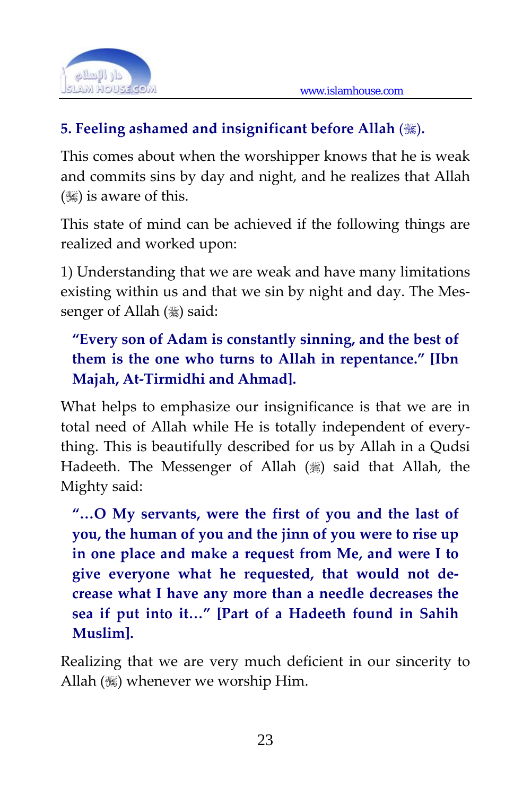

#### **5. Feeling ashamed and insignificant before Allah** ()**.**

This comes about when the worshipper knows that he is weak and commits sins by day and night, and he realizes that Allah  $(\mathcal{K})$  is aware of this.

This state of mind can be achieved if the following things are realized and worked upon:

1) Understanding that we are weak and have many limitations existing within us and that we sin by night and day. The Messenger of Allah (\*) said:

## **"Every son of Adam is constantly sinning, and the best of them is the one who turns to Allah in repentance." [Ibn Majah, At‐Tirmidhi and Ahmad].**

What helps to emphasize our insignificance is that we are in total need of Allah while He is totally independent of every‐ thing. This is beautifully described for us by Allah in a Qudsi Hadeeth. The Messenger of Allah (,) said that Allah, the Mighty said:

**"…O My servants, were the first of you and the last of you, the human of you and the jinn of you were to rise up in one place and make a request from Me, and were I to give everyone what he requested, that would not de‐ crease what I have any more than a needle decreases the sea if put into it…" [Part of a Hadeeth found in Sahih Muslim].**

Realizing that we are very much deficient in our sincerity to Allah (3) whenever we worship Him.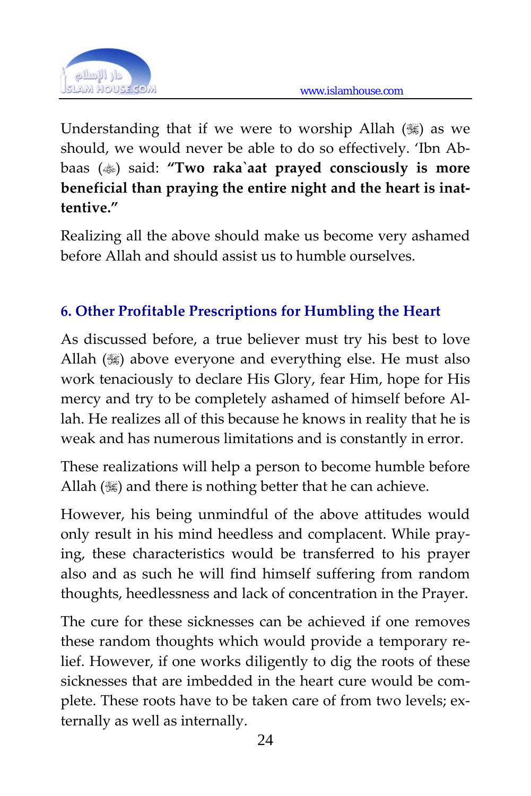

Understanding that if we were to worship Allah  $(\mathcal{H})$  as we should, we would never be able to do so effectively. 'Ibn Ab‐ baas () said: **"Two raka`aat prayed consciously is more beneficial than praying the entire night and the heart is inat‐ tentive."** 

Realizing all the above should make us become very ashamed before Allah and should assist us to humble ourselves.

## **6. Other Profitable Prescriptions for Humbling the Heart**

As discussed before, a true believer must try his best to love Allah  $(\mathcal{H})$  above everyone and everything else. He must also work tenaciously to declare His Glory, fear Him, hope for His mercy and try to be completely ashamed of himself before Al‐ lah. He realizes all of this because he knows in reality that he is weak and has numerous limitations and is constantly in error.

These realizations will help a person to become humble before Allah  $(\mathcal{H})$  and there is nothing better that he can achieve.

However, his being unmindful of the above attitudes would only result in his mind heedless and complacent. While pray‐ ing, these characteristics would be transferred to his prayer also and as such he will find himself suffering from random thoughts, heedlessness and lack of concentration in the Prayer.

The cure for these sicknesses can be achieved if one removes these random thoughts which would provide a temporary relief. However, if one works diligently to dig the roots of these sicknesses that are imbedded in the heart cure would be complete. These roots have to be taken care of from two levels; externally as well as internally.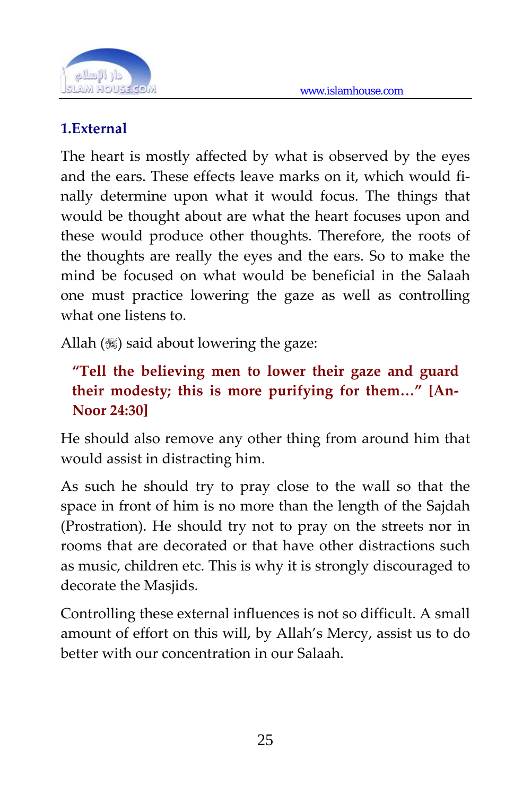

#### **1.External**

The heart is mostly affected by what is observed by the eyes and the ears. These effects leave marks on it, which would fi‐ nally determine upon what it would focus. The things that would be thought about are what the heart focuses upon and these would produce other thoughts. Therefore, the roots of the thoughts are really the eyes and the ears. So to make the mind be focused on what would be beneficial in the Salaah one must practice lowering the gaze as well as controlling what one listens to

Allah  $(\mathcal{H})$  said about lowering the gaze:

### **"Tell the believing men to lower their gaze and guard their modesty; this is more purifying for them…" [An‐ Noor 24:30]**

He should also remove any other thing from around him that would assist in distracting him.

As such he should try to pray close to the wall so that the space in front of him is no more than the length of the Sajdah (Prostration). He should try not to pray on the streets nor in rooms that are decorated or that have other distractions such as music, children etc. This is why it is strongly discouraged to decorate the Masjids.

Controlling these external influences is not so difficult. A small amount of effort on this will, by Allah's Mercy, assist us to do better with our concentration in our Salaah.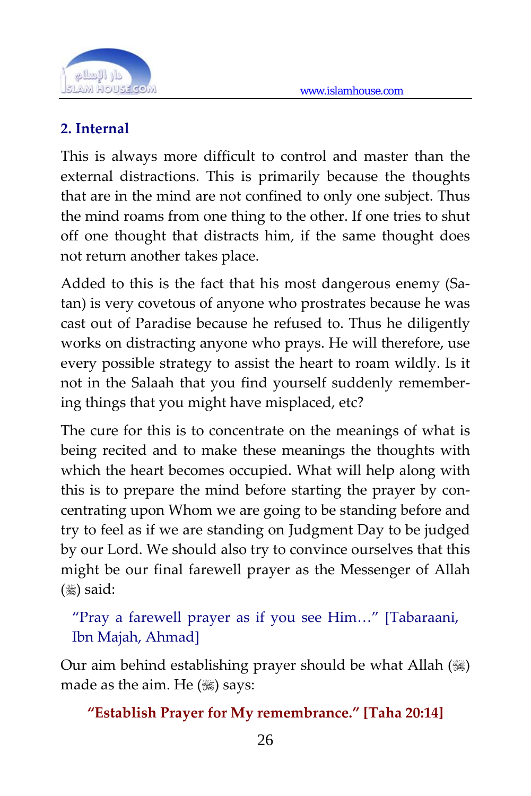

#### **2. Internal**

This is always more difficult to control and master than the external distractions. This is primarily because the thoughts that are in the mind are not confined to only one subject. Thus the mind roams from one thing to the other. If one tries to shut off one thought that distracts him, if the same thought does not return another takes place.

Added to this is the fact that his most dangerous enemy (Sa‐ tan) is very covetous of anyone who prostrates because he was cast out of Paradise because he refused to. Thus he diligently works on distracting anyone who prays. He will therefore, use every possible strategy to assist the heart to roam wildly. Is it not in the Salaah that you find yourself suddenly remember‐ ing things that you might have misplaced, etc?

The cure for this is to concentrate on the meanings of what is being recited and to make these meanings the thoughts with which the heart becomes occupied. What will help along with this is to prepare the mind before starting the prayer by con‐ centrating upon Whom we are going to be standing before and try to feel as if we are standing on Judgment Day to be judged by our Lord. We should also try to convince ourselves that this might be our final farewell prayer as the Messenger of Allah  $(\ddot{\ddot{\bm{}}})$  said:

"Pray a farewell prayer as if you see Him…" [Tabaraani, Ibn Majah, Ahmad]

Our aim behind establishing prayer should be what Allah () made as the aim. He  $(\mathcal{H})$  says:

**"Establish Prayer for My remembrance." [Taha 20:14]**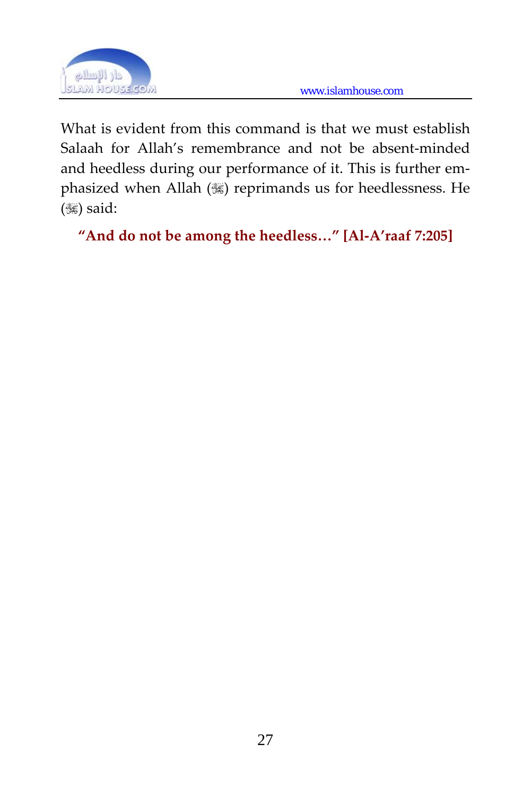

What is evident from this command is that we must establish Salaah for Allah's remembrance and not be absent-minded and heedless during our performance of it. This is further emphasized when Allah () reprimands us for heedlessness. He  $(\mathcal{H})$  said:

```
"And do not be among the heedless…" [Al‐A'raaf 7:205]
```